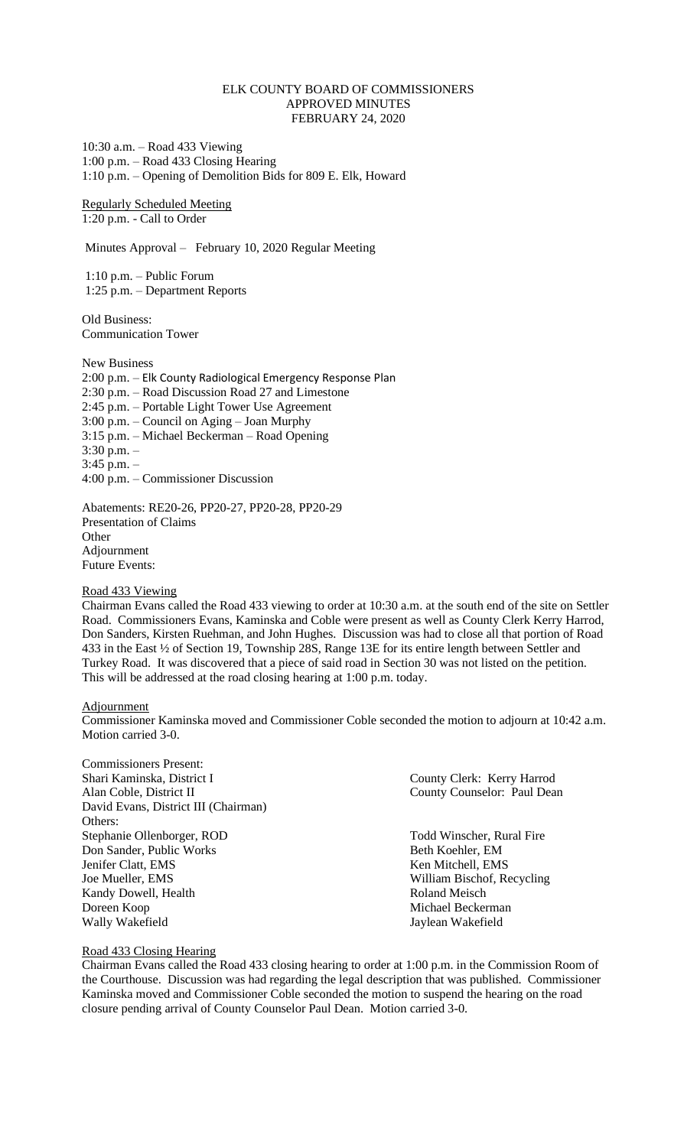# ELK COUNTY BOARD OF COMMISSIONERS APPROVED MINUTES FEBRUARY 24, 2020

10:30 a.m. – Road 433 Viewing 1:00 p.m. – Road 433 Closing Hearing 1:10 p.m. – Opening of Demolition Bids for 809 E. Elk, Howard

Regularly Scheduled Meeting 1:20 p.m. - Call to Order

Minutes Approval – February 10, 2020 Regular Meeting

1:10 p.m. – Public Forum 1:25 p.m. – Department Reports

Old Business: Communication Tower

New Business 2:00 p.m. – Elk County Radiological Emergency Response Plan 2:30 p.m. – Road Discussion Road 27 and Limestone 2:45 p.m. – Portable Light Tower Use Agreement 3:00 p.m. – Council on Aging – Joan Murphy 3:15 p.m. – Michael Beckerman – Road Opening 3:30 p.m. – 3:45 p.m. – 4:00 p.m. – Commissioner Discussion

Abatements: RE20-26, PP20-27, PP20-28, PP20-29 Presentation of Claims **Other** Adjournment Future Events:

### Road 433 Viewing

Chairman Evans called the Road 433 viewing to order at 10:30 a.m. at the south end of the site on Settler Road. Commissioners Evans, Kaminska and Coble were present as well as County Clerk Kerry Harrod, Don Sanders, Kirsten Ruehman, and John Hughes. Discussion was had to close all that portion of Road 433 in the East ½ of Section 19, Township 28S, Range 13E for its entire length between Settler and Turkey Road. It was discovered that a piece of said road in Section 30 was not listed on the petition. This will be addressed at the road closing hearing at 1:00 p.m. today.

Adjournment

Commissioner Kaminska moved and Commissioner Coble seconded the motion to adjourn at 10:42 a.m. Motion carried 3-0.

| <b>Commissioners Present:</b>        |                             |
|--------------------------------------|-----------------------------|
| Shari Kaminska, District I           | County Clerk: Kerry Harrod  |
| Alan Coble, District II              | County Counselor: Paul Dean |
| David Evans, District III (Chairman) |                             |
| Others:                              |                             |
| Stephanie Ollenborger, ROD           | Todd Winscher, Rural Fire   |
| Don Sander, Public Works             | Beth Koehler, EM            |
| Jenifer Clatt, EMS                   | Ken Mitchell, EMS           |
| Joe Mueller, EMS                     | William Bischof, Recycling  |
| Kandy Dowell, Health                 | Roland Meisch               |
| Doreen Koop                          | Michael Beckerman           |
| Wally Wakefield                      | Jaylean Wakefield           |

Road 433 Closing Hearing

Chairman Evans called the Road 433 closing hearing to order at 1:00 p.m. in the Commission Room of the Courthouse. Discussion was had regarding the legal description that was published. Commissioner Kaminska moved and Commissioner Coble seconded the motion to suspend the hearing on the road closure pending arrival of County Counselor Paul Dean. Motion carried 3-0.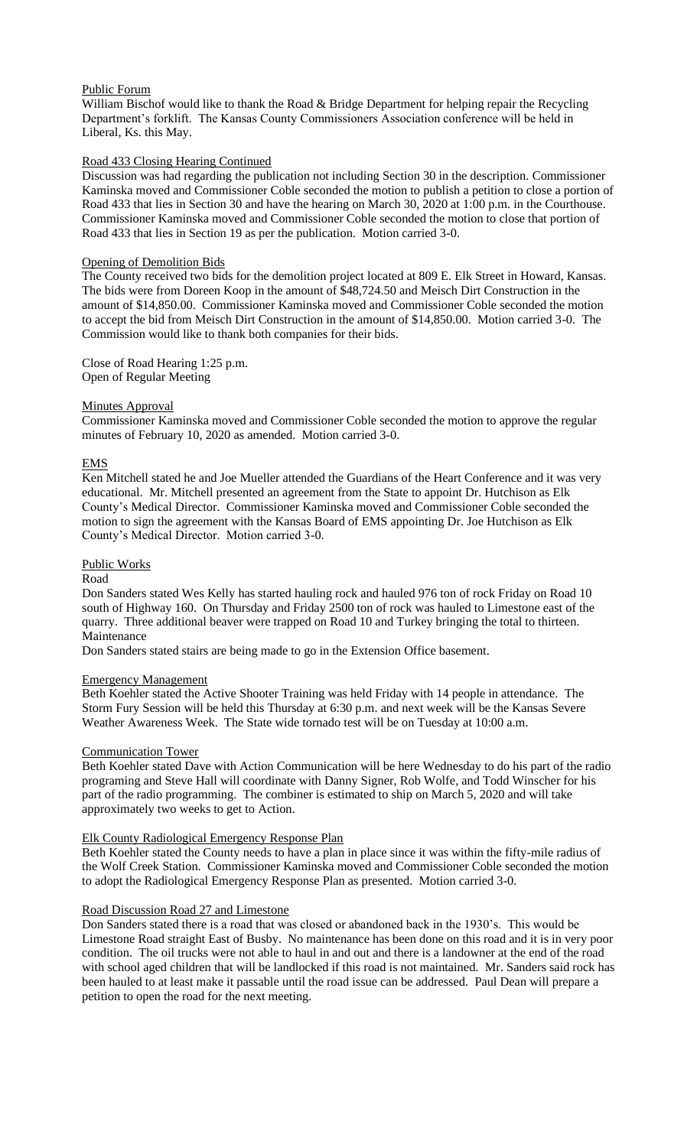# Public Forum

William Bischof would like to thank the Road & Bridge Department for helping repair the Recycling Department's forklift. The Kansas County Commissioners Association conference will be held in Liberal, Ks. this May.

# Road 433 Closing Hearing Continued

Discussion was had regarding the publication not including Section 30 in the description. Commissioner Kaminska moved and Commissioner Coble seconded the motion to publish a petition to close a portion of Road 433 that lies in Section 30 and have the hearing on March 30, 2020 at 1:00 p.m. in the Courthouse. Commissioner Kaminska moved and Commissioner Coble seconded the motion to close that portion of Road 433 that lies in Section 19 as per the publication. Motion carried 3-0.

# Opening of Demolition Bids

The County received two bids for the demolition project located at 809 E. Elk Street in Howard, Kansas. The bids were from Doreen Koop in the amount of \$48,724.50 and Meisch Dirt Construction in the amount of \$14,850.00. Commissioner Kaminska moved and Commissioner Coble seconded the motion to accept the bid from Meisch Dirt Construction in the amount of \$14,850.00. Motion carried 3-0. The Commission would like to thank both companies for their bids.

Close of Road Hearing 1:25 p.m. Open of Regular Meeting

# **Minutes Approval**

Commissioner Kaminska moved and Commissioner Coble seconded the motion to approve the regular minutes of February 10, 2020 as amended. Motion carried 3-0.

### EMS

Ken Mitchell stated he and Joe Mueller attended the Guardians of the Heart Conference and it was very educational. Mr. Mitchell presented an agreement from the State to appoint Dr. Hutchison as Elk County's Medical Director. Commissioner Kaminska moved and Commissioner Coble seconded the motion to sign the agreement with the Kansas Board of EMS appointing Dr. Joe Hutchison as Elk County's Medical Director. Motion carried 3-0.

### Public Works

Road

Don Sanders stated Wes Kelly has started hauling rock and hauled 976 ton of rock Friday on Road 10 south of Highway 160. On Thursday and Friday 2500 ton of rock was hauled to Limestone east of the quarry. Three additional beaver were trapped on Road 10 and Turkey bringing the total to thirteen. Maintenance

Don Sanders stated stairs are being made to go in the Extension Office basement.

### Emergency Management

Beth Koehler stated the Active Shooter Training was held Friday with 14 people in attendance. The Storm Fury Session will be held this Thursday at 6:30 p.m. and next week will be the Kansas Severe Weather Awareness Week. The State wide tornado test will be on Tuesday at 10:00 a.m.

### Communication Tower

Beth Koehler stated Dave with Action Communication will be here Wednesday to do his part of the radio programing and Steve Hall will coordinate with Danny Signer, Rob Wolfe, and Todd Winscher for his part of the radio programming. The combiner is estimated to ship on March 5, 2020 and will take approximately two weeks to get to Action.

# Elk County Radiological Emergency Response Plan

Beth Koehler stated the County needs to have a plan in place since it was within the fifty-mile radius of the Wolf Creek Station. Commissioner Kaminska moved and Commissioner Coble seconded the motion to adopt the Radiological Emergency Response Plan as presented. Motion carried 3-0.

# Road Discussion Road 27 and Limestone

Don Sanders stated there is a road that was closed or abandoned back in the 1930's. This would be Limestone Road straight East of Busby. No maintenance has been done on this road and it is in very poor condition. The oil trucks were not able to haul in and out and there is a landowner at the end of the road with school aged children that will be landlocked if this road is not maintained. Mr. Sanders said rock has been hauled to at least make it passable until the road issue can be addressed. Paul Dean will prepare a petition to open the road for the next meeting.